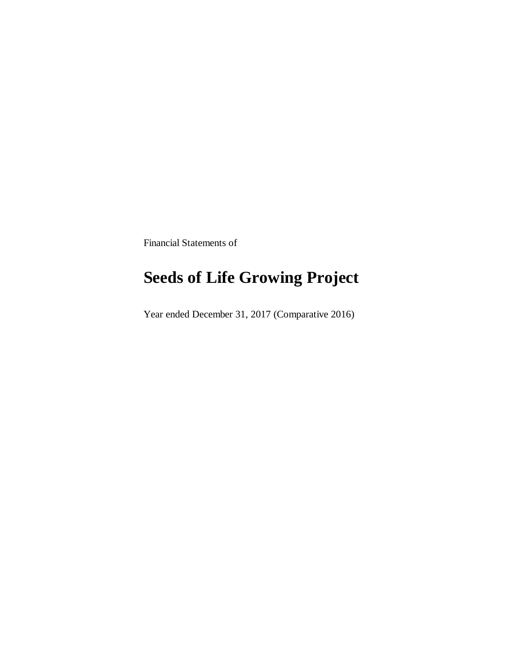Financial Statements of

# **Seeds of Life Growing Project**

Year ended December 31, 2017 (Comparative 2016)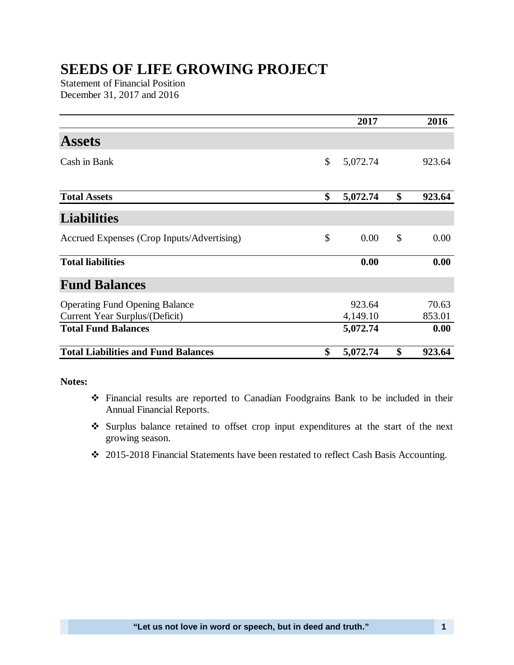## **SEEDS OF LIFE GROWING PROJECT**

Statement of Financial Position December 31, 2017 and 2016

|                                            | 2017           | 2016         |
|--------------------------------------------|----------------|--------------|
| <b>Assets</b>                              |                |              |
| Cash in Bank                               | \$<br>5,072.74 | 923.64       |
|                                            |                |              |
| <b>Total Assets</b>                        | \$<br>5,072.74 | \$<br>923.64 |
| <b>Liabilities</b>                         |                |              |
| Accrued Expenses (Crop Inputs/Advertising) | \$<br>0.00     | \$<br>0.00   |
| <b>Total liabilities</b>                   | 0.00           | 0.00         |
| <b>Fund Balances</b>                       |                |              |
| <b>Operating Fund Opening Balance</b>      | 923.64         | 70.63        |
| Current Year Surplus/(Deficit)             | 4,149.10       | 853.01       |
| <b>Total Fund Balances</b>                 | 5,072.74       | 0.00         |
| <b>Total Liabilities and Fund Balances</b> | \$<br>5,072.74 | \$<br>923.64 |

### **Notes:**

- Financial results are reported to Canadian Foodgrains Bank to be included in their Annual Financial Reports.
- Surplus balance retained to offset crop input expenditures at the start of the next growing season.
- 2015-2018 Financial Statements have been restated to reflect Cash Basis Accounting.